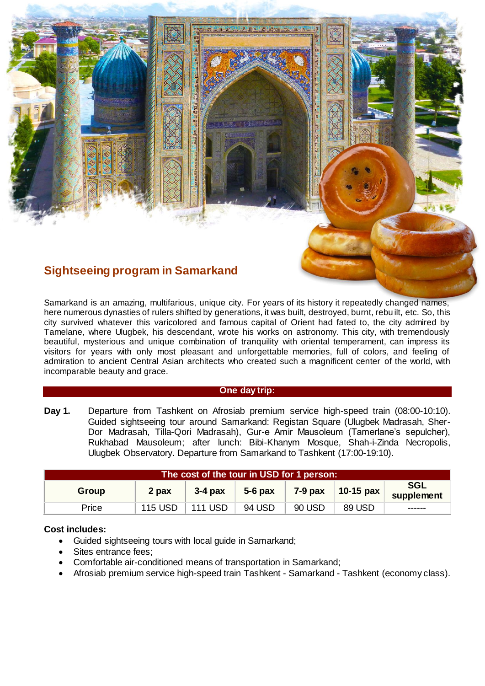# **Sightseeing program in Samarkand**

Samarkand is an amazing, multifarious, unique city. For years of its history it repeatedly changed names, here numerous dynasties of rulers shifted by generations, it was built, destroyed, burnt, rebu ilt, etc. So, this city survived whatever this varicolored and famous capital of Orient had fated to, the city admired by Tamelane, where Ulugbek, his descendant, wrote his works on astronomy. This city, with tremendously beautiful, mysterious and unique combination of tranquility with oriental temperament, can impress its visitors for years with only most pleasant and unforgettable memories, full of colors, and feeling of admiration to ancient Central Asian architects who created such a magnificent center of the world, with incomparable beauty and grace.

### **One day trip:**

**Day 1.** Departure from Tashkent on Afrosiab premium service high-speed train (08:00-10:10). Guided sightseeing tour around Samarkand: Registan Square (Ulugbek Madrasah, Sher-Dor Madrasah, Tilla-Qori Madrasah), Gur-e Amir Mausoleum (Tamerlane's sepulcher), Rukhabad Mausoleum; after lunch: Bibi-Khanym Mosque, Shah-i-Zinda Necropolis, Ulugbek Observatory. Departure from Samarkand to Tashkent (17:00-19:10).

| The cost of the tour in USD for 1 person: |                |                |           |           |                       |                          |
|-------------------------------------------|----------------|----------------|-----------|-----------|-----------------------|--------------------------|
| Group                                     | 2 pax          | $3-4$ pax      | $5-6$ pax | $7-9$ pax | 10-15 $\mathsf{p}$ ax | <b>SGL</b><br>supplement |
| Price                                     | <b>115 USD</b> | <b>111 USD</b> | 94 USD    | 90 USD    | 89 USD                | ------                   |

## **Cost includes:**

- Guided sightseeing tours with local guide in Samarkand;
- Sites entrance fees;
- Comfortable air-conditioned means of transportation in Samarkand;
- Afrosiab premium service high-speed train Tashkent Samarkand Tashkent (economy class).